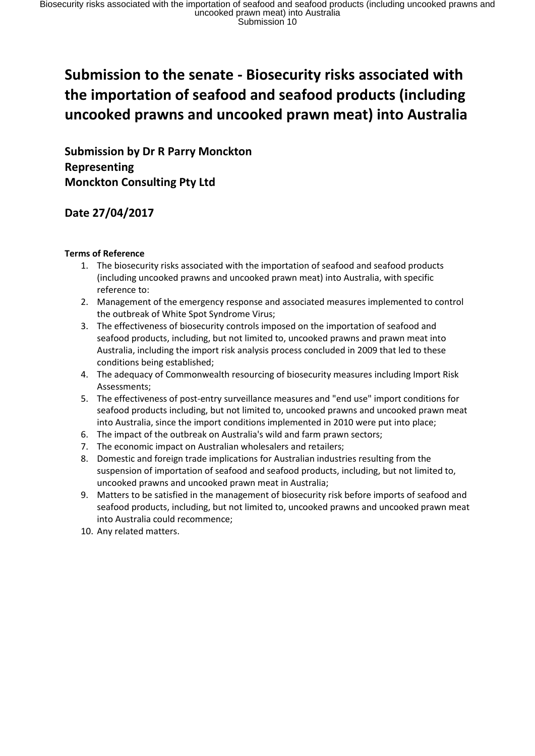# **Submission to the senate - Biosecurity risks associated with the importation of seafood and seafood products (including uncooked prawns and uncooked prawn meat) into Australia**

**Submission by Dr R Parry Monckton Representing Monckton Consulting Pty Ltd** 

# **Date 27/04/2017**

# **Terms of Reference**

- 1. The biosecurity risks associated with the importation of seafood and seafood products (including uncooked prawns and uncooked prawn meat) into Australia, with specific reference to:
- 2. Management of the emergency response and associated measures implemented to control the outbreak of White Spot Syndrome Virus;
- 3. The effectiveness of biosecurity controls imposed on the importation of seafood and seafood products, including, but not limited to, uncooked prawns and prawn meat into Australia, including the import risk analysis process concluded in 2009 that led to these conditions being established;
- 4. The adequacy of Commonwealth resourcing of biosecurity measures including Import Risk Assessments;
- 5. The effectiveness of post-entry surveillance measures and "end use" import conditions for seafood products including, but not limited to, uncooked prawns and uncooked prawn meat into Australia, since the import conditions implemented in 2010 were put into place;
- 6. The impact of the outbreak on Australia's wild and farm prawn sectors;
- 7. The economic impact on Australian wholesalers and retailers;
- 8. Domestic and foreign trade implications for Australian industries resulting from the suspension of importation of seafood and seafood products, including, but not limited to, uncooked prawns and uncooked prawn meat in Australia;
- 9. Matters to be satisfied in the management of biosecurity risk before imports of seafood and seafood products, including, but not limited to, uncooked prawns and uncooked prawn meat into Australia could recommence;
- 10. Any related matters.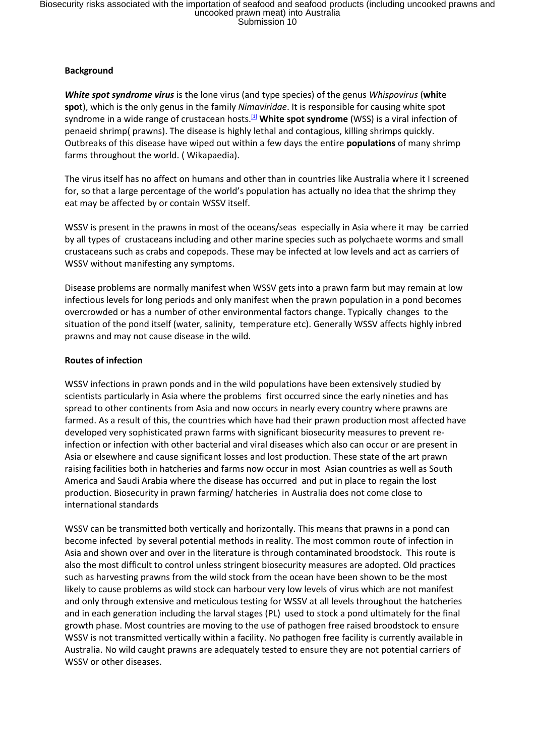# **Background**

*White spot syndrome virus* is the lone [virus](https://en.wikipedia.org/wiki/Virus) (and type species) of the genus *Whispovirus* (**whi**te **spo**t), which is the only genus in the family *Nimaviridae*. It is responsible for causing white spot syndrome in a wide range of crustacean hosts.<sup>[\[1\]](https://en.wikipedia.org/wiki/White_spot_syndrome#cite_note-ViralZone-1)</sup> White spot syndrome (WSS) is a [viral](https://en.wikipedia.org/wiki/Virus) infection of [penaeid shrimp\(](https://en.wikipedia.org/wiki/Penaeidae) prawns). The disease is highly lethal and contagious, killing shrimps quickly. Outbreaks of this disease have wiped out within a few days the entire **populations** of man[y shrimp](https://en.wikipedia.org/wiki/Shrimp_farm)  [farms](https://en.wikipedia.org/wiki/Shrimp_farm) throughout the world. ( Wikapaedia).

The virus itself has no affect on humans and other than in countries like Australia where it I screened for, so that a large percentage of the world's population has actually no idea that the shrimp they eat may be affected by or contain WSSV itself.

WSSV is present in the prawns in most of the oceans/seas especially in Asia where it may be carried by all types of crustaceans including and other marine species such as polychaete worms and small crustaceans such as crabs and copepods. These may be infected at low levels and act as carriers of WSSV without manifesting any symptoms.

Disease problems are normally manifest when WSSV gets into a prawn farm but may remain at low infectious levels for long periods and only manifest when the prawn population in a pond becomes overcrowded or has a number of other environmental factors change. Typically changes to the situation of the pond itself (water, salinity, temperature etc). Generally WSSV affects highly inbred prawns and may not cause disease in the wild.

#### **Routes of infection**

WSSV infections in prawn ponds and in the wild populations have been extensively studied by scientists particularly in Asia where the problems first occurred since the early nineties and has spread to other continents from Asia and now occurs in nearly every country where prawns are farmed. As a result of this, the countries which have had their prawn production most affected have developed very sophisticated prawn farms with significant biosecurity measures to prevent reinfection or infection with other bacterial and viral diseases which also can occur or are present in Asia or elsewhere and cause significant losses and lost production. These state of the art prawn raising facilities both in hatcheries and farms now occur in most Asian countries as well as South America and Saudi Arabia where the disease has occurred and put in place to regain the lost production. Biosecurity in prawn farming/ hatcheries in Australia does not come close to international standards

WSSV can be transmitted both vertically and horizontally. This means that prawns in a pond can become infected by several potential methods in reality. The most common route of infection in Asia and shown over and over in the literature is through contaminated broodstock. This route is also the most difficult to control unless stringent biosecurity measures are adopted. Old practices such as harvesting prawns from the wild stock from the ocean have been shown to be the most likely to cause problems as wild stock can harbour very low levels of virus which are not manifest and only through extensive and meticulous testing for WSSV at all levels throughout the hatcheries and in each generation including the larval stages (PL) used to stock a pond ultimately for the final growth phase. Most countries are moving to the use of pathogen free raised broodstock to ensure WSSV is not transmitted vertically within a facility. No pathogen free facility is currently available in Australia. No wild caught prawns are adequately tested to ensure they are not potential carriers of WSSV or other diseases.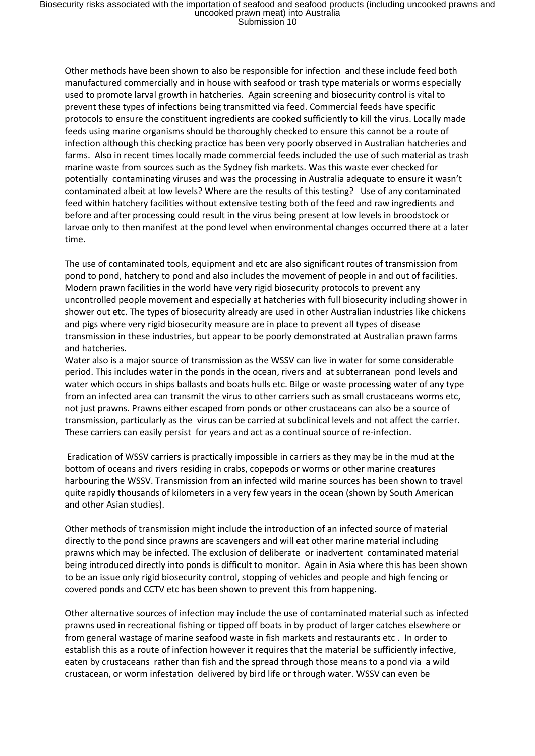Other methods have been shown to also be responsible for infection and these include feed both manufactured commercially and in house with seafood or trash type materials or worms especially used to promote larval growth in hatcheries. Again screening and biosecurity control is vital to prevent these types of infections being transmitted via feed. Commercial feeds have specific protocols to ensure the constituent ingredients are cooked sufficiently to kill the virus. Locally made feeds using marine organisms should be thoroughly checked to ensure this cannot be a route of infection although this checking practice has been very poorly observed in Australian hatcheries and farms. Also in recent times locally made commercial feeds included the use of such material as trash marine waste from sources such as the Sydney fish markets. Was this waste ever checked for potentially contaminating viruses and was the processing in Australia adequate to ensure it wasn't contaminated albeit at low levels? Where are the results of this testing? Use of any contaminated feed within hatchery facilities without extensive testing both of the feed and raw ingredients and before and after processing could result in the virus being present at low levels in broodstock or larvae only to then manifest at the pond level when environmental changes occurred there at a later time.

The use of contaminated tools, equipment and etc are also significant routes of transmission from pond to pond, hatchery to pond and also includes the movement of people in and out of facilities. Modern prawn facilities in the world have very rigid biosecurity protocols to prevent any uncontrolled people movement and especially at hatcheries with full biosecurity including shower in shower out etc. The types of biosecurity already are used in other Australian industries like chickens and pigs where very rigid biosecurity measure are in place to prevent all types of disease transmission in these industries, but appear to be poorly demonstrated at Australian prawn farms and hatcheries.

Water also is a major source of transmission as the WSSV can live in water for some considerable period. This includes water in the ponds in the ocean, rivers and at subterranean pond levels and water which occurs in ships ballasts and boats hulls etc. Bilge or waste processing water of any type from an infected area can transmit the virus to other carriers such as small crustaceans worms etc, not just prawns. Prawns either escaped from ponds or other crustaceans can also be a source of transmission, particularly as the virus can be carried at subclinical levels and not affect the carrier. These carriers can easily persist for years and act as a continual source of re-infection.

Eradication of WSSV carriers is practically impossible in carriers as they may be in the mud at the bottom of oceans and rivers residing in crabs, copepods or worms or other marine creatures harbouring the WSSV. Transmission from an infected wild marine sources has been shown to travel quite rapidly thousands of kilometers in a very few years in the ocean (shown by South American and other Asian studies).

Other methods of transmission might include the introduction of an infected source of material directly to the pond since prawns are scavengers and will eat other marine material including prawns which may be infected. The exclusion of deliberate or inadvertent contaminated material being introduced directly into ponds is difficult to monitor. Again in Asia where this has been shown to be an issue only rigid biosecurity control, stopping of vehicles and people and high fencing or covered ponds and CCTV etc has been shown to prevent this from happening.

Other alternative sources of infection may include the use of contaminated material such as infected prawns used in recreational fishing or tipped off boats in by product of larger catches elsewhere or from general wastage of marine seafood waste in fish markets and restaurants etc . In order to establish this as a route of infection however it requires that the material be sufficiently infective, eaten by crustaceans rather than fish and the spread through those means to a pond via a wild crustacean, or worm infestation delivered by bird life or through water. WSSV can even be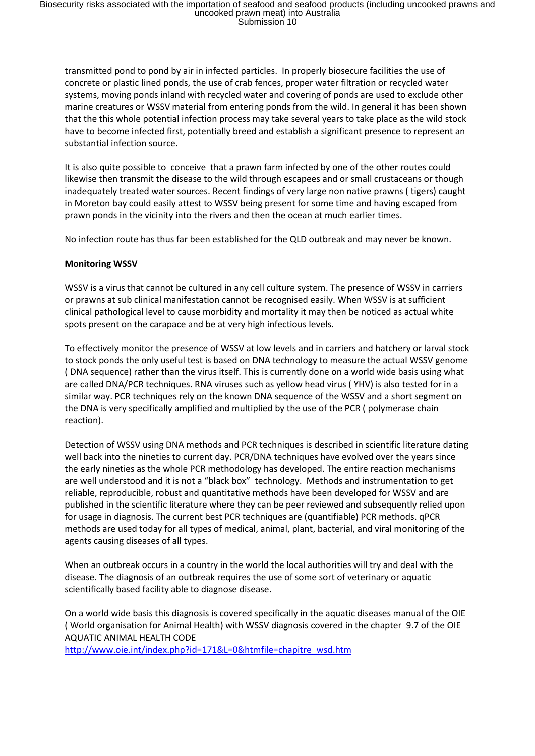transmitted pond to pond by air in infected particles. In properly biosecure facilities the use of concrete or plastic lined ponds, the use of crab fences, proper water filtration or recycled water systems, moving ponds inland with recycled water and covering of ponds are used to exclude other marine creatures or WSSV material from entering ponds from the wild. In general it has been shown that the this whole potential infection process may take several years to take place as the wild stock have to become infected first, potentially breed and establish a significant presence to represent an substantial infection source.

It is also quite possible to conceive that a prawn farm infected by one of the other routes could likewise then transmit the disease to the wild through escapees and or small crustaceans or though inadequately treated water sources. Recent findings of very large non native prawns ( tigers) caught in Moreton bay could easily attest to WSSV being present for some time and having escaped from prawn ponds in the vicinity into the rivers and then the ocean at much earlier times.

No infection route has thus far been established for the QLD outbreak and may never be known.

#### **Monitoring WSSV**

WSSV is a virus that cannot be cultured in any cell culture system. The presence of WSSV in carriers or prawns at sub clinical manifestation cannot be recognised easily. When WSSV is at sufficient clinical pathological level to cause morbidity and mortality it may then be noticed as actual white spots present on the carapace and be at very high infectious levels.

To effectively monitor the presence of WSSV at low levels and in carriers and hatchery or larval stock to stock ponds the only useful test is based on DNA technology to measure the actual WSSV genome ( DNA sequence) rather than the virus itself. This is currently done on a world wide basis using what are called DNA/PCR techniques. RNA viruses such as yellow head virus ( YHV) is also tested for in a similar way. PCR techniques rely on the known DNA sequence of the WSSV and a short segment on the DNA is very specifically amplified and multiplied by the use of the PCR ( polymerase chain reaction).

Detection of WSSV using DNA methods and PCR techniques is described in scientific literature dating well back into the nineties to current day. PCR/DNA techniques have evolved over the years since the early nineties as the whole PCR methodology has developed. The entire reaction mechanisms are well understood and it is not a "black box" technology. Methods and instrumentation to get reliable, reproducible, robust and quantitative methods have been developed for WSSV and are published in the scientific literature where they can be peer reviewed and subsequently relied upon for usage in diagnosis. The current best PCR techniques are (quantifiable) PCR methods. qPCR methods are used today for all types of medical, animal, plant, bacterial, and viral monitoring of the agents causing diseases of all types.

When an outbreak occurs in a country in the world the local authorities will try and deal with the disease. The diagnosis of an outbreak requires the use of some sort of veterinary or aquatic scientifically based facility able to diagnose disease.

On a world wide basis this diagnosis is covered specifically in the aquatic diseases manual of the OIE ( World organisation for Animal Health) with WSSV diagnosis covered in the chapter 9.7 of the OIE AQUATIC ANIMAL HEALTH CODE

[http://www.oie.int/index.php?id=171&L=0&htmfile=chapitre\\_wsd.htm](http://www.oie.int/index.php?id=171&L=0&htmfile=chapitre_wsd.htm)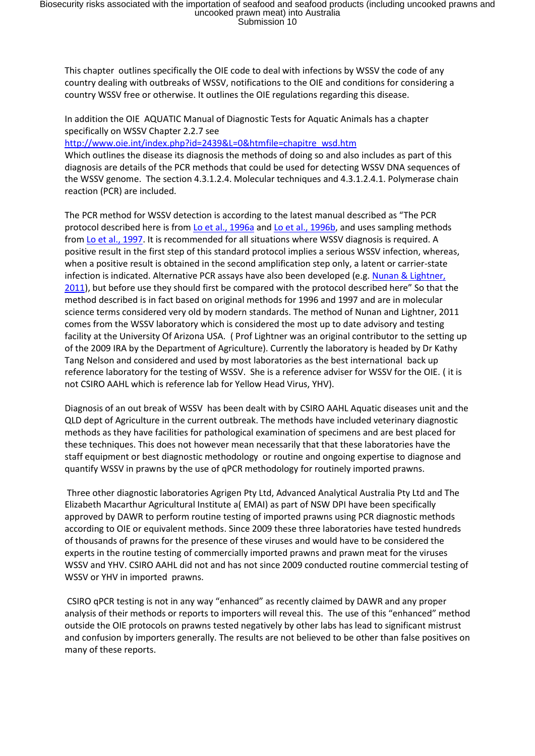This chapter outlines specifically the OIE code to deal with infections by WSSV the code of any country dealing with outbreaks of WSSV, notifications to the OIE and conditions for considering a country WSSV free or otherwise. It outlines the OIE regulations regarding this disease.

In addition the OIE AQUATIC Manual of Diagnostic Tests for Aquatic Animals has a chapter specifically on WSSV Chapter 2.2.7 see

[http://www.oie.int/index.php?id=2439&L=0&htmfile=chapitre\\_wsd.htm](http://www.oie.int/index.php?id=2439&L=0&htmfile=chapitre_wsd.htm)

Which outlines the disease its diagnosis the methods of doing so and also includes as part of this diagnosis are details of the PCR methods that could be used for detecting WSSV DNA sequences of the WSSV genome. The section 4.3.1.2.4. Molecular techniques and 4.3.1.2.4.1. Polymerase chain reaction (PCR) are included.

The PCR method for WSSV detection is according to the latest manual described as "The PCR protocol described here is from [Lo et al., 1996a](http://www.oie.int/index.php?id=2439&L=0&htmfile=chapitre_wsd.htm#chapitre_wsd.biblio-52) and [Lo et al., 1996b,](http://www.oie.int/index.php?id=2439&L=0&htmfile=chapitre_wsd.htm#chapitre_wsd.biblio-50) and uses sampling methods from [Lo et al., 1997.](http://www.oie.int/index.php?id=2439&L=0&htmfile=chapitre_wsd.htm#biblio-8) It is recommended for all situations where WSSV diagnosis is required. A positive result in the first step of this standard protocol implies a serious WSSV infection, whereas, when a positive result is obtained in the second amplification step only, a latent or carrier-state infection is indicated. Alternative PCR assays have also been developed (e.g. Nunan [& Lightner,](http://www.oie.int/index.php?id=2439&L=0&htmfile=chapitre_wsd.htm#chapitre_wsd.biblio-59)  [2011](http://www.oie.int/index.php?id=2439&L=0&htmfile=chapitre_wsd.htm#chapitre_wsd.biblio-59)), but before use they should first be compared with the protocol described here" So that the method described is in fact based on original methods for 1996 and 1997 and are in molecular science terms considered very old by modern standards. The method of Nunan and Lightner, 2011 comes from the WSSV laboratory which is considered the most up to date advisory and testing facility at the University Of Arizona USA. ( Prof Lightner was an original contributor to the setting up of the 2009 IRA by the Department of Agriculture). Currently the laboratory is headed by Dr Kathy Tang Nelson and considered and used by most laboratories as the best international back up reference laboratory for the testing of WSSV. She is a reference adviser for WSSV for the OIE. ( it is not CSIRO AAHL which is reference lab for Yellow Head Virus, YHV).

Diagnosis of an out break of WSSV has been dealt with by CSIRO AAHL Aquatic diseases unit and the QLD dept of Agriculture in the current outbreak. The methods have included veterinary diagnostic methods as they have facilities for pathological examination of specimens and are best placed for these techniques. This does not however mean necessarily that that these laboratories have the staff equipment or best diagnostic methodology or routine and ongoing expertise to diagnose and quantify WSSV in prawns by the use of qPCR methodology for routinely imported prawns.

Three other diagnostic laboratories Agrigen Pty Ltd, Advanced Analytical Australia Pty Ltd and The Elizabeth Macarthur Agricultural Institute a( EMAI) as part of NSW DPI have been specifically approved by DAWR to perform routine testing of imported prawns using PCR diagnostic methods according to OIE or equivalent methods. Since 2009 these three laboratories have tested hundreds of thousands of prawns for the presence of these viruses and would have to be considered the experts in the routine testing of commercially imported prawns and prawn meat for the viruses WSSV and YHV. CSIRO AAHL did not and has not since 2009 conducted routine commercial testing of WSSV or YHV in imported prawns.

CSIRO qPCR testing is not in any way "enhanced" as recently claimed by DAWR and any proper analysis of their methods or reports to importers will reveal this. The use of this "enhanced" method outside the OIE protocols on prawns tested negatively by other labs has lead to significant mistrust and confusion by importers generally. The results are not believed to be other than false positives on many of these reports.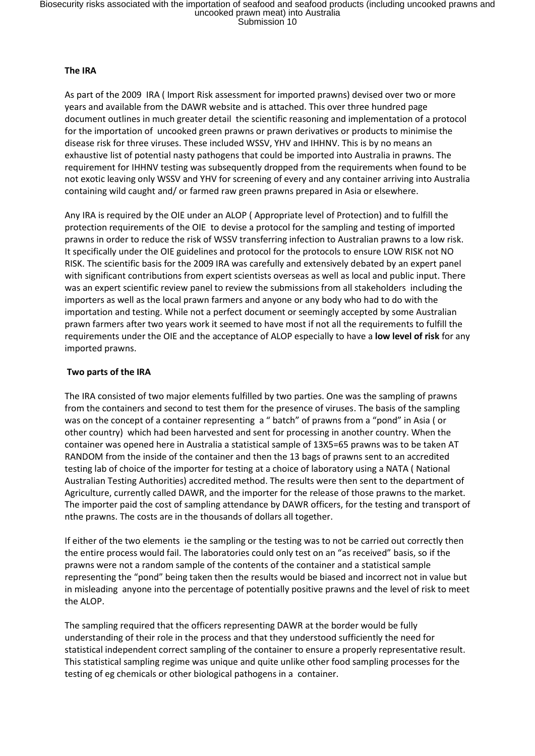#### **The IRA**

As part of the 2009 IRA ( Import Risk assessment for imported prawns) devised over two or more years and available from the DAWR website and is attached. This over three hundred page document outlines in much greater detail the scientific reasoning and implementation of a protocol for the importation of uncooked green prawns or prawn derivatives or products to minimise the disease risk for three viruses. These included WSSV, YHV and IHHNV. This is by no means an exhaustive list of potential nasty pathogens that could be imported into Australia in prawns. The requirement for IHHNV testing was subsequently dropped from the requirements when found to be not exotic leaving only WSSV and YHV for screening of every and any container arriving into Australia containing wild caught and/ or farmed raw green prawns prepared in Asia or elsewhere.

Any IRA is required by the OIE under an ALOP ( Appropriate level of Protection) and to fulfill the protection requirements of the OIE to devise a protocol for the sampling and testing of imported prawns in order to reduce the risk of WSSV transferring infection to Australian prawns to a low risk. It specifically under the OIE guidelines and protocol for the protocols to ensure LOW RISK not NO RISK. The scientific basis for the 2009 IRA was carefully and extensively debated by an expert panel with significant contributions from expert scientists overseas as well as local and public input. There was an expert scientific review panel to review the submissions from all stakeholders including the importers as well as the local prawn farmers and anyone or any body who had to do with the importation and testing. While not a perfect document or seemingly accepted by some Australian prawn farmers after two years work it seemed to have most if not all the requirements to fulfill the requirements under the OIE and the acceptance of ALOP especially to have a **low level of risk** for any imported prawns.

# **Two parts of the IRA**

The IRA consisted of two major elements fulfilled by two parties. One was the sampling of prawns from the containers and second to test them for the presence of viruses. The basis of the sampling was on the concept of a container representing a " batch" of prawns from a "pond" in Asia ( or other country) which had been harvested and sent for processing in another country. When the container was opened here in Australia a statistical sample of 13X5=65 prawns was to be taken AT RANDOM from the inside of the container and then the 13 bags of prawns sent to an accredited testing lab of choice of the importer for testing at a choice of laboratory using a NATA ( National Australian Testing Authorities) accredited method. The results were then sent to the department of Agriculture, currently called DAWR, and the importer for the release of those prawns to the market. The importer paid the cost of sampling attendance by DAWR officers, for the testing and transport of nthe prawns. The costs are in the thousands of dollars all together.

If either of the two elements ie the sampling or the testing was to not be carried out correctly then the entire process would fail. The laboratories could only test on an "as received" basis, so if the prawns were not a random sample of the contents of the container and a statistical sample representing the "pond" being taken then the results would be biased and incorrect not in value but in misleading anyone into the percentage of potentially positive prawns and the level of risk to meet the ALOP.

The sampling required that the officers representing DAWR at the border would be fully understanding of their role in the process and that they understood sufficiently the need for statistical independent correct sampling of the container to ensure a properly representative result. This statistical sampling regime was unique and quite unlike other food sampling processes for the testing of eg chemicals or other biological pathogens in a container.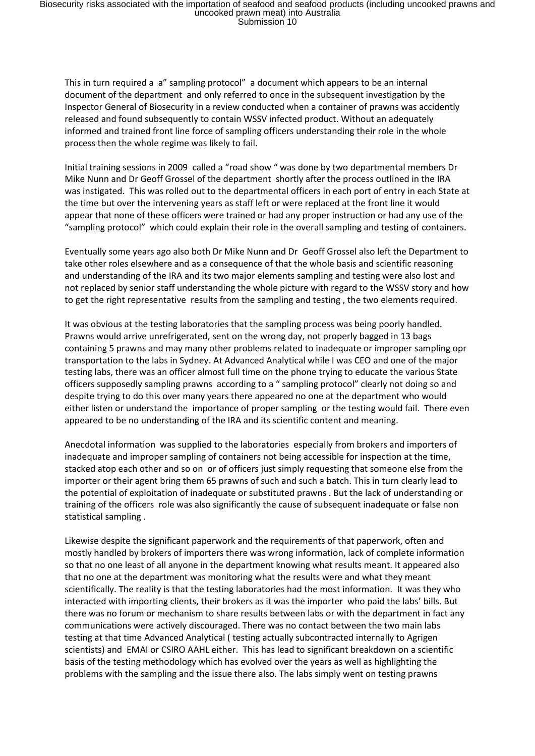Biosecurity risks associated with the importation of seafood and seafood products (including uncooked prawns and<br>uncooked prawn meat) into Australia<br>Submission 10

This in turn required a a" sampling protocol" a document which appears to be an internal document of the department and only referred to once in the subsequent investigation by the Inspector General of Biosecurity in a review conducted when a container of prawns was accidently released and found subsequently to contain WSSV infected product. Without an adequately informed and trained front line force of sampling officers understanding their role in the whole process then the whole regime was likely to fail.

Initial training sessions in 2009 called a "road show " was done by two departmental members Dr Mike Nunn and Dr Geoff Grossel of the department shortly after the process outlined in the IRA was instigated. This was rolled out to the departmental officers in each port of entry in each State at the time but over the intervening years as staff left or were replaced at the front line it would appear that none of these officers were trained or had any proper instruction or had any use of the "sampling protocol" which could explain their role in the overall sampling and testing of containers.

Eventually some years ago also both Dr Mike Nunn and Dr Geoff Grossel also left the Department to take other roles elsewhere and as a consequence of that the whole basis and scientific reasoning and understanding of the IRA and its two major elements sampling and testing were also lost and not replaced by senior staff understanding the whole picture with regard to the WSSV story and how to get the right representative results from the sampling and testing , the two elements required.

It was obvious at the testing laboratories that the sampling process was being poorly handled. Prawns would arrive unrefrigerated, sent on the wrong day, not properly bagged in 13 bags containing 5 prawns and may many other problems related to inadequate or improper sampling opr transportation to the labs in Sydney. At Advanced Analytical while I was CEO and one of the major testing labs, there was an officer almost full time on the phone trying to educate the various State officers supposedly sampling prawns according to a " sampling protocol" clearly not doing so and despite trying to do this over many years there appeared no one at the department who would either listen or understand the importance of proper sampling or the testing would fail. There even appeared to be no understanding of the IRA and its scientific content and meaning.

Anecdotal information was supplied to the laboratories especially from brokers and importers of inadequate and improper sampling of containers not being accessible for inspection at the time, stacked atop each other and so on or of officers just simply requesting that someone else from the importer or their agent bring them 65 prawns of such and such a batch. This in turn clearly lead to the potential of exploitation of inadequate or substituted prawns . But the lack of understanding or training of the officers role was also significantly the cause of subsequent inadequate or false non statistical sampling .

Likewise despite the significant paperwork and the requirements of that paperwork, often and mostly handled by brokers of importers there was wrong information, lack of complete information so that no one least of all anyone in the department knowing what results meant. It appeared also that no one at the department was monitoring what the results were and what they meant scientifically. The reality is that the testing laboratories had the most information. It was they who interacted with importing clients, their brokers as it was the importer who paid the labs' bills. But there was no forum or mechanism to share results between labs or with the department in fact any communications were actively discouraged. There was no contact between the two main labs testing at that time Advanced Analytical ( testing actually subcontracted internally to Agrigen scientists) and EMAI or CSIRO AAHL either. This has lead to significant breakdown on a scientific basis of the testing methodology which has evolved over the years as well as highlighting the problems with the sampling and the issue there also. The labs simply went on testing prawns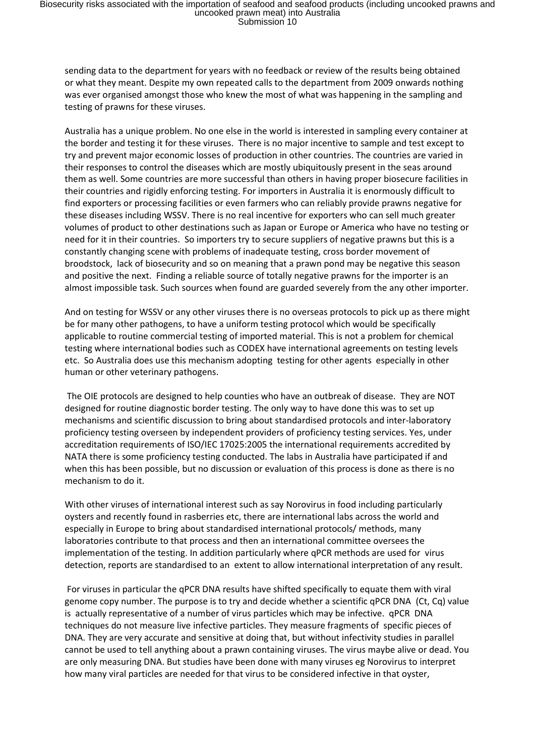sending data to the department for years with no feedback or review of the results being obtained or what they meant. Despite my own repeated calls to the department from 2009 onwards nothing was ever organised amongst those who knew the most of what was happening in the sampling and testing of prawns for these viruses.

Australia has a unique problem. No one else in the world is interested in sampling every container at the border and testing it for these viruses. There is no major incentive to sample and test except to try and prevent major economic losses of production in other countries. The countries are varied in their responses to control the diseases which are mostly ubiquitously present in the seas around them as well. Some countries are more successful than others in having proper biosecure facilities in their countries and rigidly enforcing testing. For importers in Australia it is enormously difficult to find exporters or processing facilities or even farmers who can reliably provide prawns negative for these diseases including WSSV. There is no real incentive for exporters who can sell much greater volumes of product to other destinations such as Japan or Europe or America who have no testing or need for it in their countries. So importers try to secure suppliers of negative prawns but this is a constantly changing scene with problems of inadequate testing, cross border movement of broodstock, lack of biosecurity and so on meaning that a prawn pond may be negative this season and positive the next. Finding a reliable source of totally negative prawns for the importer is an almost impossible task. Such sources when found are guarded severely from the any other importer.

And on testing for WSSV or any other viruses there is no overseas protocols to pick up as there might be for many other pathogens, to have a uniform testing protocol which would be specifically applicable to routine commercial testing of imported material. This is not a problem for chemical testing where international bodies such as CODEX have international agreements on testing levels etc. So Australia does use this mechanism adopting testing for other agents especially in other human or other veterinary pathogens.

The OIE protocols are designed to help counties who have an outbreak of disease. They are NOT designed for routine diagnostic border testing. The only way to have done this was to set up mechanisms and scientific discussion to bring about standardised protocols and inter-laboratory proficiency testing overseen by independent providers of proficiency testing services. Yes, under accreditation requirements of ISO/IEC 17025:2005 the international requirements accredited by NATA there is some proficiency testing conducted. The labs in Australia have participated if and when this has been possible, but no discussion or evaluation of this process is done as there is no mechanism to do it.

With other viruses of international interest such as say Norovirus in food including particularly oysters and recently found in rasberries etc, there are international labs across the world and especially in Europe to bring about standardised international protocols/ methods, many laboratories contribute to that process and then an international committee oversees the implementation of the testing. In addition particularly where qPCR methods are used for virus detection, reports are standardised to an extent to allow international interpretation of any result.

For viruses in particular the qPCR DNA results have shifted specifically to equate them with viral genome copy number. The purpose is to try and decide whether a scientific qPCR DNA (Ct, Cq) value is actually representative of a number of virus particles which may be infective. qPCR DNA techniques do not measure live infective particles. They measure fragments of specific pieces of DNA. They are very accurate and sensitive at doing that, but without infectivity studies in parallel cannot be used to tell anything about a prawn containing viruses. The virus maybe alive or dead. You are only measuring DNA. But studies have been done with many viruses eg Norovirus to interpret how many viral particles are needed for that virus to be considered infective in that oyster,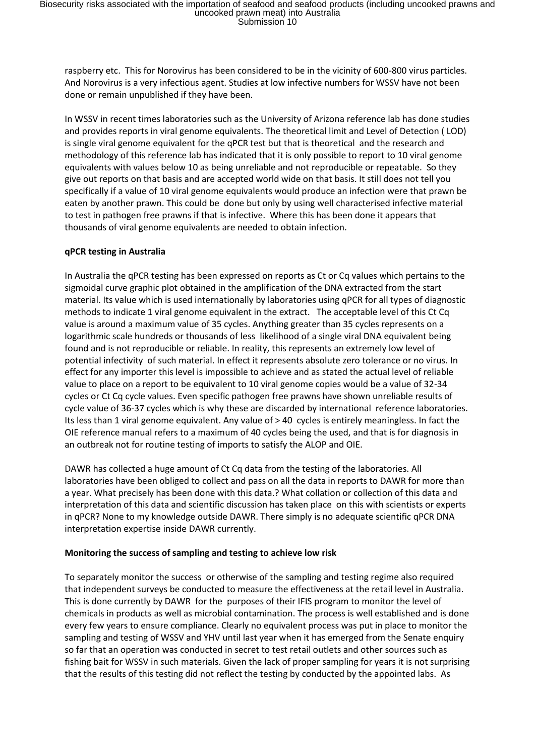raspberry etc. This for Norovirus has been considered to be in the vicinity of 600-800 virus particles. And Norovirus is a very infectious agent. Studies at low infective numbers for WSSV have not been done or remain unpublished if they have been.

In WSSV in recent times laboratories such as the University of Arizona reference lab has done studies and provides reports in viral genome equivalents. The theoretical limit and Level of Detection ( LOD) is single viral genome equivalent for the qPCR test but that is theoretical and the research and methodology of this reference lab has indicated that it is only possible to report to 10 viral genome equivalents with values below 10 as being unreliable and not reproducible or repeatable. So they give out reports on that basis and are accepted world wide on that basis. It still does not tell you specifically if a value of 10 viral genome equivalents would produce an infection were that prawn be eaten by another prawn. This could be done but only by using well characterised infective material to test in pathogen free prawns if that is infective. Where this has been done it appears that thousands of viral genome equivalents are needed to obtain infection.

#### **qPCR testing in Australia**

In Australia the qPCR testing has been expressed on reports as Ct or Cq values which pertains to the sigmoidal curve graphic plot obtained in the amplification of the DNA extracted from the start material. Its value which is used internationally by laboratories using qPCR for all types of diagnostic methods to indicate 1 viral genome equivalent in the extract. The acceptable level of this Ct Cq value is around a maximum value of 35 cycles. Anything greater than 35 cycles represents on a logarithmic scale hundreds or thousands of less likelihood of a single viral DNA equivalent being found and is not reproducible or reliable. In reality, this represents an extremely low level of potential infectivity of such material. In effect it represents absolute zero tolerance or no virus. In effect for any importer this level is impossible to achieve and as stated the actual level of reliable value to place on a report to be equivalent to 10 viral genome copies would be a value of 32-34 cycles or Ct Cq cycle values. Even specific pathogen free prawns have shown unreliable results of cycle value of 36-37 cycles which is why these are discarded by international reference laboratories. Its less than 1 viral genome equivalent. Any value of > 40 cycles is entirely meaningless. In fact the OIE reference manual refers to a maximum of 40 cycles being the used, and that is for diagnosis in an outbreak not for routine testing of imports to satisfy the ALOP and OIE.

DAWR has collected a huge amount of Ct Cq data from the testing of the laboratories. All laboratories have been obliged to collect and pass on all the data in reports to DAWR for more than a year. What precisely has been done with this data.? What collation or collection of this data and interpretation of this data and scientific discussion has taken place on this with scientists or experts in qPCR? None to my knowledge outside DAWR. There simply is no adequate scientific qPCR DNA interpretation expertise inside DAWR currently.

#### **Monitoring the success of sampling and testing to achieve low risk**

To separately monitor the success or otherwise of the sampling and testing regime also required that independent surveys be conducted to measure the effectiveness at the retail level in Australia. This is done currently by DAWR for the purposes of their IFIS program to monitor the level of chemicals in products as well as microbial contamination. The process is well established and is done every few years to ensure compliance. Clearly no equivalent process was put in place to monitor the sampling and testing of WSSV and YHV until last year when it has emerged from the Senate enquiry so far that an operation was conducted in secret to test retail outlets and other sources such as fishing bait for WSSV in such materials. Given the lack of proper sampling for years it is not surprising that the results of this testing did not reflect the testing by conducted by the appointed labs. As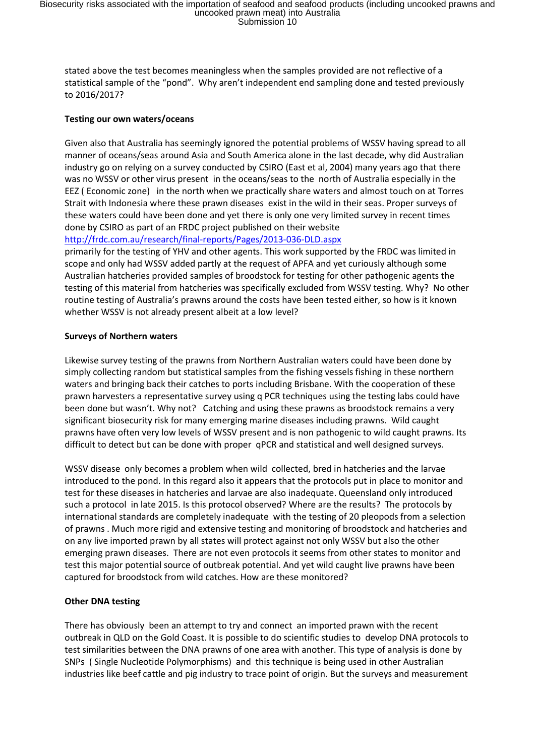stated above the test becomes meaningless when the samples provided are not reflective of a statistical sample of the "pond". Why aren't independent end sampling done and tested previously to 2016/2017?

#### **Testing our own waters/oceans**

Given also that Australia has seemingly ignored the potential problems of WSSV having spread to all manner of oceans/seas around Asia and South America alone in the last decade, why did Australian industry go on relying on a survey conducted by CSIRO (East et al, 2004) many years ago that there was no WSSV or other virus present in the oceans/seas to the north of Australia especially in the EEZ ( Economic zone) in the north when we practically share waters and almost touch on at Torres Strait with Indonesia where these prawn diseases exist in the wild in their seas. Proper surveys of these waters could have been done and yet there is only one very limited survey in recent times done by CSIRO as part of an FRDC project published on their website

<http://frdc.com.au/research/final-reports/Pages/2013-036-DLD.aspx>

primarily for the testing of YHV and other agents. This work supported by the FRDC was limited in scope and only had WSSV added partly at the request of APFA and yet curiously although some Australian hatcheries provided samples of broodstock for testing for other pathogenic agents the testing of this material from hatcheries was specifically excluded from WSSV testing. Why? No other routine testing of Australia's prawns around the costs have been tested either, so how is it known whether WSSV is not already present albeit at a low level?

#### **Surveys of Northern waters**

Likewise survey testing of the prawns from Northern Australian waters could have been done by simply collecting random but statistical samples from the fishing vessels fishing in these northern waters and bringing back their catches to ports including Brisbane. With the cooperation of these prawn harvesters a representative survey using q PCR techniques using the testing labs could have been done but wasn't. Why not? Catching and using these prawns as broodstock remains a very significant biosecurity risk for many emerging marine diseases including prawns. Wild caught prawns have often very low levels of WSSV present and is non pathogenic to wild caught prawns. Its difficult to detect but can be done with proper qPCR and statistical and well designed surveys.

WSSV disease only becomes a problem when wild collected, bred in hatcheries and the larvae introduced to the pond. In this regard also it appears that the protocols put in place to monitor and test for these diseases in hatcheries and larvae are also inadequate. Queensland only introduced such a protocol in late 2015. Is this protocol observed? Where are the results? The protocols by international standards are completely inadequate with the testing of 20 pleopods from a selection of prawns . Much more rigid and extensive testing and monitoring of broodstock and hatcheries and on any live imported prawn by all states will protect against not only WSSV but also the other emerging prawn diseases. There are not even protocols it seems from other states to monitor and test this major potential source of outbreak potential. And yet wild caught live prawns have been captured for broodstock from wild catches. How are these monitored?

# **Other DNA testing**

There has obviously been an attempt to try and connect an imported prawn with the recent outbreak in QLD on the Gold Coast. It is possible to do scientific studies to develop DNA protocols to test similarities between the DNA prawns of one area with another. This type of analysis is done by SNPs ( Single Nucleotide Polymorphisms) and this technique is being used in other Australian industries like beef cattle and pig industry to trace point of origin. But the surveys and measurement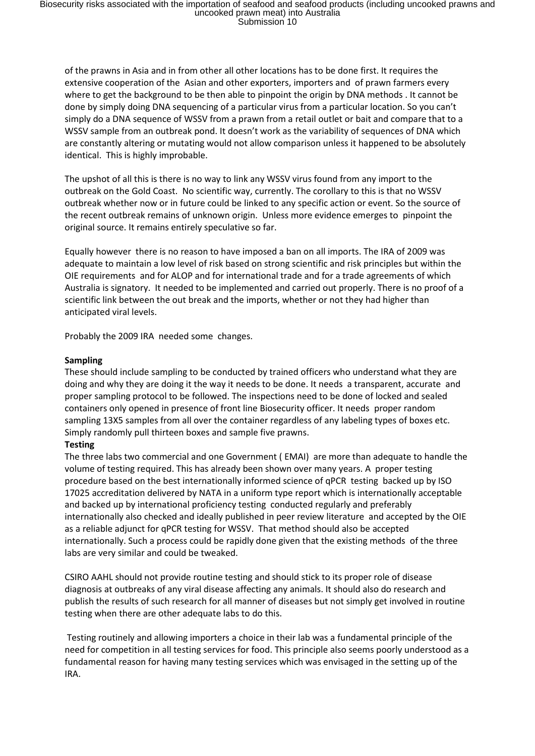of the prawns in Asia and in from other all other locations has to be done first. It requires the extensive cooperation of the Asian and other exporters, importers and of prawn farmers every where to get the background to be then able to pinpoint the origin by DNA methods . It cannot be done by simply doing DNA sequencing of a particular virus from a particular location. So you can't simply do a DNA sequence of WSSV from a prawn from a retail outlet or bait and compare that to a WSSV sample from an outbreak pond. It doesn't work as the variability of sequences of DNA which are constantly altering or mutating would not allow comparison unless it happened to be absolutely identical. This is highly improbable.

The upshot of all this is there is no way to link any WSSV virus found from any import to the outbreak on the Gold Coast. No scientific way, currently. The corollary to this is that no WSSV outbreak whether now or in future could be linked to any specific action or event. So the source of the recent outbreak remains of unknown origin. Unless more evidence emerges to pinpoint the original source. It remains entirely speculative so far.

Equally however there is no reason to have imposed a ban on all imports. The IRA of 2009 was adequate to maintain a low level of risk based on strong scientific and risk principles but within the OIE requirements and for ALOP and for international trade and for a trade agreements of which Australia is signatory. It needed to be implemented and carried out properly. There is no proof of a scientific link between the out break and the imports, whether or not they had higher than anticipated viral levels.

Probably the 2009 IRA needed some changes.

#### **Sampling**

These should include sampling to be conducted by trained officers who understand what they are doing and why they are doing it the way it needs to be done. It needs a transparent, accurate and proper sampling protocol to be followed. The inspections need to be done of locked and sealed containers only opened in presence of front line Biosecurity officer. It needs proper random sampling 13X5 samples from all over the container regardless of any labeling types of boxes etc. Simply randomly pull thirteen boxes and sample five prawns.

#### **Testing**

The three labs two commercial and one Government ( EMAI) are more than adequate to handle the volume of testing required. This has already been shown over many years. A proper testing procedure based on the best internationally informed science of qPCR testing backed up by ISO 17025 accreditation delivered by NATA in a uniform type report which is internationally acceptable and backed up by international proficiency testing conducted regularly and preferably internationally also checked and ideally published in peer review literature and accepted by the OIE as a reliable adjunct for qPCR testing for WSSV. That method should also be accepted internationally. Such a process could be rapidly done given that the existing methods of the three labs are very similar and could be tweaked.

CSIRO AAHL should not provide routine testing and should stick to its proper role of disease diagnosis at outbreaks of any viral disease affecting any animals. It should also do research and publish the results of such research for all manner of diseases but not simply get involved in routine testing when there are other adequate labs to do this.

Testing routinely and allowing importers a choice in their lab was a fundamental principle of the need for competition in all testing services for food. This principle also seems poorly understood as a fundamental reason for having many testing services which was envisaged in the setting up of the IRA.